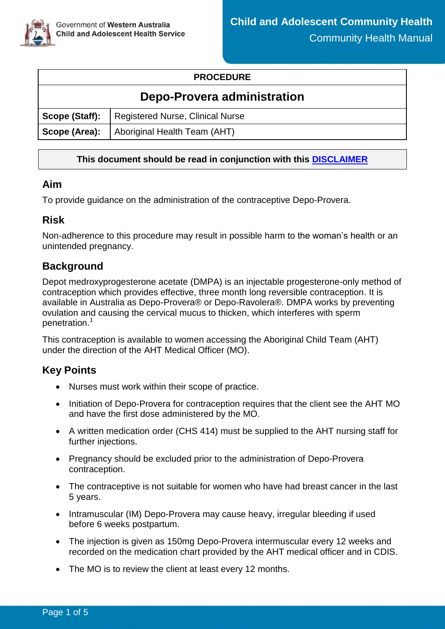

#### **PROCEDURE**

## **Depo-Provera administration**

| Scope (Staff):   Registered Nurse, Clinical Nurse |
|---------------------------------------------------|
| Scope (Area): Aboriginal Health Team (AHT)        |

### **This document should be read in conjunction with this [DISCLAIMER](https://ww2.health.wa.gov.au/About-us/Child-and-Adolescent-Health-Service/Child-and-Adolescent-Community-Health/Professional-resources/Community-Health-Manual/CAHS-clinical-disclaimer)**

### **Aim**

To provide guidance on the administration of the contraceptive Depo-Provera.

## **Risk**

Non-adherence to this procedure may result in possible harm to the woman's health or an unintended pregnancy.

### **Background**

Depot medroxyprogesterone acetate (DMPA) is an injectable progesterone-only method of contraception which provides effective, three month long reversible contraception. It is available in Australia as Depo-Provera® or Depo-Ravolera®. DMPA works by preventing ovulation and causing the cervical mucus to thicken, which interferes with sperm penetration.<sup>1</sup>

This contraception is available to women accessing the Aboriginal Child Team (AHT) under the direction of the AHT Medical Officer (MO).

## **Key Points**

- Nurses must work within their scope of practice.
- Initiation of Depo-Provera for contraception requires that the client see the AHT MO and have the first dose administered by the MO.
- A written medication order (CHS 414) must be supplied to the AHT nursing staff for further injections.
- Pregnancy should be excluded prior to the administration of Depo-Provera contraception.
- The contraceptive is not suitable for women who have had breast cancer in the last 5 years.
- Intramuscular (IM) Depo-Provera may cause heavy, irregular bleeding if used before 6 weeks postpartum.
- The injection is given as 150mg Depo-Provera intermuscular every 12 weeks and recorded on the medication chart provided by the AHT medical officer and in CDIS.
- The MO is to review the client at least every 12 months.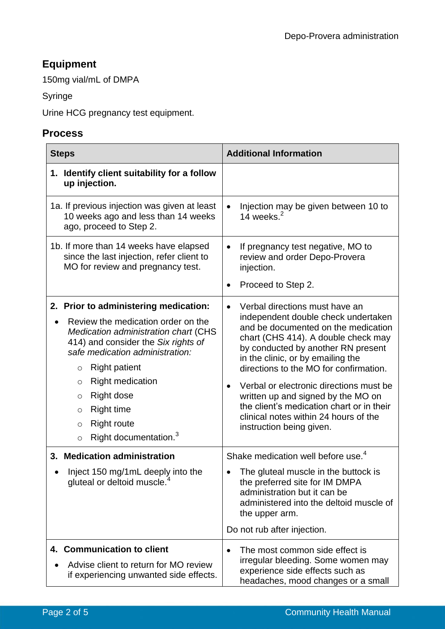# **Equipment**

150mg vial/mL of DMPA

Syringe

Urine HCG pregnancy test equipment.

### **Process**

| <b>Steps</b>                                                                                                                                                                                                                                                                                                                                                                                  | <b>Additional Information</b>                                                                                                                                                                                                                                                                                                                                                                                                                                                                         |  |
|-----------------------------------------------------------------------------------------------------------------------------------------------------------------------------------------------------------------------------------------------------------------------------------------------------------------------------------------------------------------------------------------------|-------------------------------------------------------------------------------------------------------------------------------------------------------------------------------------------------------------------------------------------------------------------------------------------------------------------------------------------------------------------------------------------------------------------------------------------------------------------------------------------------------|--|
| 1. Identify client suitability for a follow<br>up injection.                                                                                                                                                                                                                                                                                                                                  |                                                                                                                                                                                                                                                                                                                                                                                                                                                                                                       |  |
| 1a. If previous injection was given at least<br>10 weeks ago and less than 14 weeks<br>ago, proceed to Step 2.                                                                                                                                                                                                                                                                                | Injection may be given between 10 to<br>$\bullet$<br>14 weeks. $2$                                                                                                                                                                                                                                                                                                                                                                                                                                    |  |
| 1b. If more than 14 weeks have elapsed<br>since the last injection, refer client to<br>MO for review and pregnancy test.                                                                                                                                                                                                                                                                      | If pregnancy test negative, MO to<br>$\bullet$<br>review and order Depo-Provera<br>injection.<br>Proceed to Step 2.                                                                                                                                                                                                                                                                                                                                                                                   |  |
| 2. Prior to administering medication:<br>Review the medication order on the<br>Medication administration chart (CHS<br>414) and consider the Six rights of<br>safe medication administration:<br><b>Right patient</b><br>$\circ$<br><b>Right medication</b><br>O<br>Right dose<br>O<br>Right time<br>$\circ$<br><b>Right route</b><br>$\circ$<br>Right documentation. <sup>3</sup><br>$\circ$ | Verbal directions must have an<br>$\bullet$<br>independent double check undertaken<br>and be documented on the medication<br>chart (CHS 414). A double check may<br>by conducted by another RN present<br>in the clinic, or by emailing the<br>directions to the MO for confirmation.<br>Verbal or electronic directions must be<br>$\bullet$<br>written up and signed by the MO on<br>the client's medication chart or in their<br>clinical notes within 24 hours of the<br>instruction being given. |  |
| 3. Medication administration<br>Inject 150 mg/1mL deeply into the<br>gluteal or deltoid muscle.                                                                                                                                                                                                                                                                                               | Shake medication well before use. <sup>4</sup><br>The gluteal muscle in the buttock is<br>the preferred site for IM DMPA<br>administration but it can be<br>administered into the deltoid muscle of<br>the upper arm.<br>Do not rub after injection.                                                                                                                                                                                                                                                  |  |
| 4. Communication to client<br>Advise client to return for MO review<br>if experiencing unwanted side effects.                                                                                                                                                                                                                                                                                 | The most common side effect is<br>$\bullet$<br>irregular bleeding. Some women may<br>experience side effects such as<br>headaches, mood changes or a small                                                                                                                                                                                                                                                                                                                                            |  |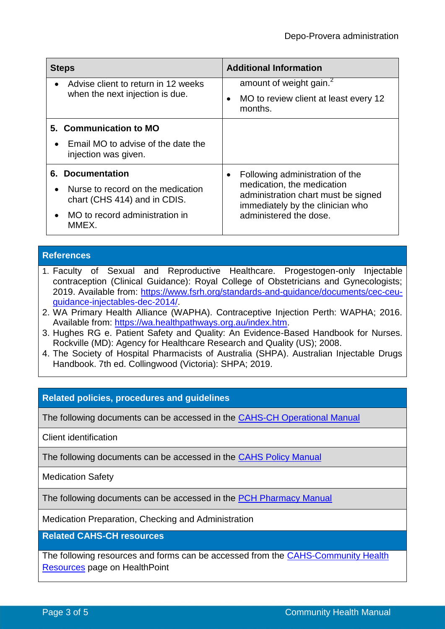| <b>Steps</b>                                                                                                                            | <b>Additional Information</b>                                                                                                                                      |  |
|-----------------------------------------------------------------------------------------------------------------------------------------|--------------------------------------------------------------------------------------------------------------------------------------------------------------------|--|
| Advise client to return in 12 weeks<br>when the next injection is due.                                                                  | amount of weight gain. <sup>2</sup><br>MO to review client at least every 12<br>months.                                                                            |  |
| 5. Communication to MO<br>Email MO to advise of the date the<br>injection was given.                                                    |                                                                                                                                                                    |  |
| <b>6. Documentation</b><br>Nurse to record on the medication<br>chart (CHS 414) and in CDIS.<br>MO to record administration in<br>MMEX. | Following administration of the<br>medication, the medication<br>administration chart must be signed<br>immediately by the clinician who<br>administered the dose. |  |

#### **References**

- 1. Faculty of Sexual and Reproductive Healthcare. Progestogen-only Injectable contraception (Clinical Guidance): Royal College of Obstetricians and Gynecologists; 2019. Available from: [https://www.fsrh.org/standards-and-guidance/documents/cec-ceu](https://www.fsrh.org/standards-and-guidance/documents/cec-ceu-guidance-injectables-dec-2014/)[guidance-injectables-dec-2014/.](https://www.fsrh.org/standards-and-guidance/documents/cec-ceu-guidance-injectables-dec-2014/)
- 2. WA Primary Health Alliance (WAPHA). Contraceptive Injection Perth: WAPHA; 2016. Available from: [https://wa.healthpathways.org.au/index.htm.](https://wa.healthpathways.org.au/index.htm)
- 3. Hughes RG e. Patient Safety and Quality: An Evidence-Based Handbook for Nurses. Rockville (MD): Agency for Healthcare Research and Quality (US); 2008.
- 4. The Society of Hospital Pharmacists of Australia (SHPA). Australian Injectable Drugs Handbook. 7th ed. Collingwood (Victoria): SHPA; 2019.

### **Related policies, procedures and guidelines**

The following documents can be accessed in the CAHS-CH [Operational Manual](https://healthpoint.hdwa.health.wa.gov.au/policies/Pages/CACH-Operational-Policies.aspx)

Client identification

The following documents can be accessed in the [CAHS Policy Manual](https://healthpoint.hdwa.health.wa.gov.au/policies/Pages/CAHS-Policies-Corporate.aspx)

Medication Safety

The following documents can be accessed in the [PCH Pharmacy Manual](https://healthpoint.hdwa.health.wa.gov.au/policies/Pages/CAHS%20Policy%20Pages/PCH-Medication-Management-and-Pharmacy.aspx)

Medication Preparation, Checking and Administration

**Related CAHS-CH resources**

The following resources and forms can be accessed from the **CAHS-Community Health** [Resources](https://cahs-healthpoint.hdwa.health.wa.gov.au/cach/resources/Pages/default.aspx) page on HealthPoint